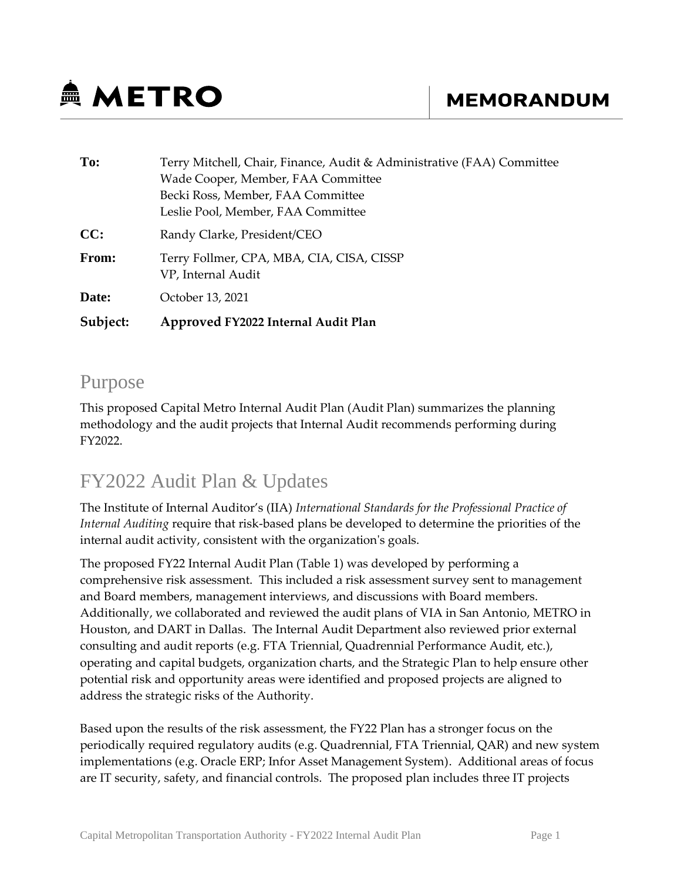# **鱼 METRO**

| To:      | Terry Mitchell, Chair, Finance, Audit & Administrative (FAA) Committee |  |  |  |  |
|----------|------------------------------------------------------------------------|--|--|--|--|
|          | Wade Cooper, Member, FAA Committee                                     |  |  |  |  |
|          | Becki Ross, Member, FAA Committee                                      |  |  |  |  |
|          | Leslie Pool, Member, FAA Committee                                     |  |  |  |  |
| CC:      | Randy Clarke, President/CEO                                            |  |  |  |  |
| From:    | Terry Follmer, CPA, MBA, CIA, CISA, CISSP<br>VP, Internal Audit        |  |  |  |  |
| Date:    | October 13, 2021                                                       |  |  |  |  |
| Subject: | Approved FY2022 Internal Audit Plan                                    |  |  |  |  |

#### Purpose

This proposed Capital Metro Internal Audit Plan (Audit Plan) summarizes the planning methodology and the audit projects that Internal Audit recommends performing during FY2022.

## FY2022 Audit Plan & Updates

The Institute of Internal Auditor's (IIA) *International Standards for the Professional Practice of Internal Auditing* require that risk-based plans be developed to determine the priorities of the internal audit activity, consistent with the organization's goals.

The proposed FY22 Internal Audit Plan (Table 1) was developed by performing a comprehensive risk assessment. This included a risk assessment survey sent to management and Board members, management interviews, and discussions with Board members. Additionally, we collaborated and reviewed the audit plans of VIA in San Antonio, METRO in Houston, and DART in Dallas. The Internal Audit Department also reviewed prior external consulting and audit reports (e.g. FTA Triennial, Quadrennial Performance Audit, etc.), operating and capital budgets, organization charts, and the Strategic Plan to help ensure other potential risk and opportunity areas were identified and proposed projects are aligned to address the strategic risks of the Authority.

Based upon the results of the risk assessment, the FY22 Plan has a stronger focus on the periodically required regulatory audits (e.g. Quadrennial, FTA Triennial, QAR) and new system implementations (e.g. Oracle ERP; Infor Asset Management System). Additional areas of focus are IT security, safety, and financial controls. The proposed plan includes three IT projects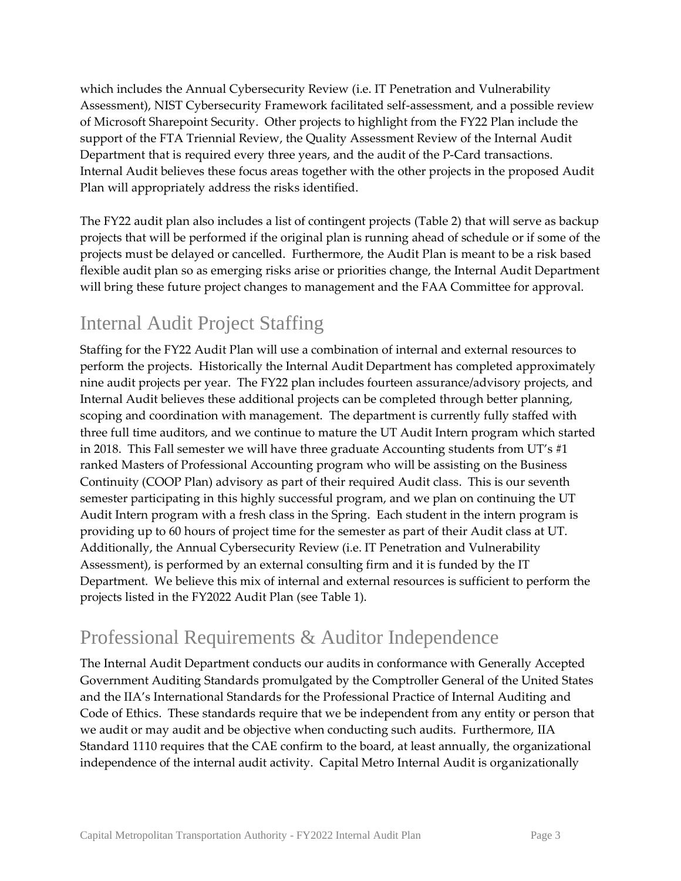which includes the Annual Cybersecurity Review (i.e. IT Penetration and Vulnerability Assessment), NIST Cybersecurity Framework facilitated self-assessment, and a possible review of Microsoft Sharepoint Security. Other projects to highlight from the FY22 Plan include the support of the FTA Triennial Review, the Quality Assessment Review of the Internal Audit Department that is required every three years, and the audit of the P-Card transactions. Internal Audit believes these focus areas together with the other projects in the proposed Audit Plan will appropriately address the risks identified.

The FY22 audit plan also includes a list of contingent projects (Table 2) that will serve as backup projects that will be performed if the original plan is running ahead of schedule or if some of the projects must be delayed or cancelled. Furthermore, the Audit Plan is meant to be a risk based flexible audit plan so as emerging risks arise or priorities change, the Internal Audit Department will bring these future project changes to management and the FAA Committee for approval.

### Internal Audit Project Staffing

Staffing for the FY22 Audit Plan will use a combination of internal and external resources to perform the projects. Historically the Internal Audit Department has completed approximately nine audit projects per year. The FY22 plan includes fourteen assurance/advisory projects, and Internal Audit believes these additional projects can be completed through better planning, scoping and coordination with management. The department is currently fully staffed with three full time auditors, and we continue to mature the UT Audit Intern program which started in 2018. This Fall semester we will have three graduate Accounting students from UT's  $\#1$ ranked Masters of Professional Accounting program who will be assisting on the Business Continuity (COOP Plan) advisory as part of their required Audit class. This is our seventh semester participating in this highly successful program, and we plan on continuing the UT Audit Intern program with a fresh class in the Spring. Each student in the intern program is providing up to 60 hours of project time for the semester as part of their Audit class at UT. Additionally, the Annual Cybersecurity Review (i.e. IT Penetration and Vulnerability Assessment), is performed by an external consulting firm and it is funded by the IT Department. We believe this mix of internal and external resources is sufficient to perform the projects listed in the FY2022 Audit Plan (see Table 1).

#### Professional Requirements & Auditor Independence

The Internal Audit Department conducts our audits in conformance with Generally Accepted Government Auditing Standards promulgated by the Comptroller General of the United States and the IIA's International Standards for the Professional Practice of Internal Auditing and Code of Ethics. These standards require that we be independent from any entity or person that we audit or may audit and be objective when conducting such audits. Furthermore, IIA Standard 1110 requires that the CAE confirm to the board, at least annually, the organizational independence of the internal audit activity. Capital Metro Internal Audit is organizationally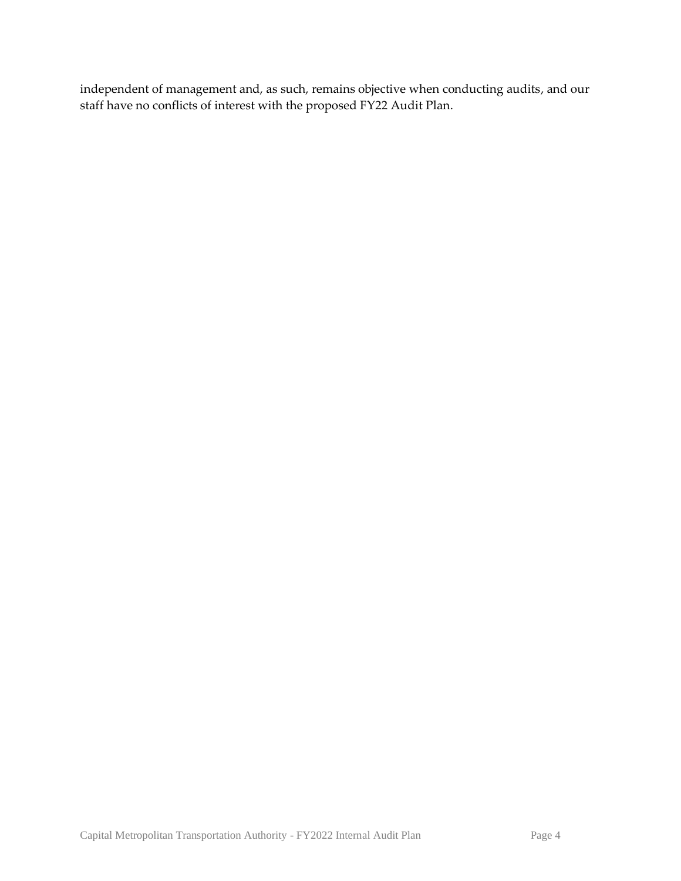independent of management and, as such, remains objective when conducting audits, and our staff have no conflicts of interest with the proposed FY22 Audit Plan.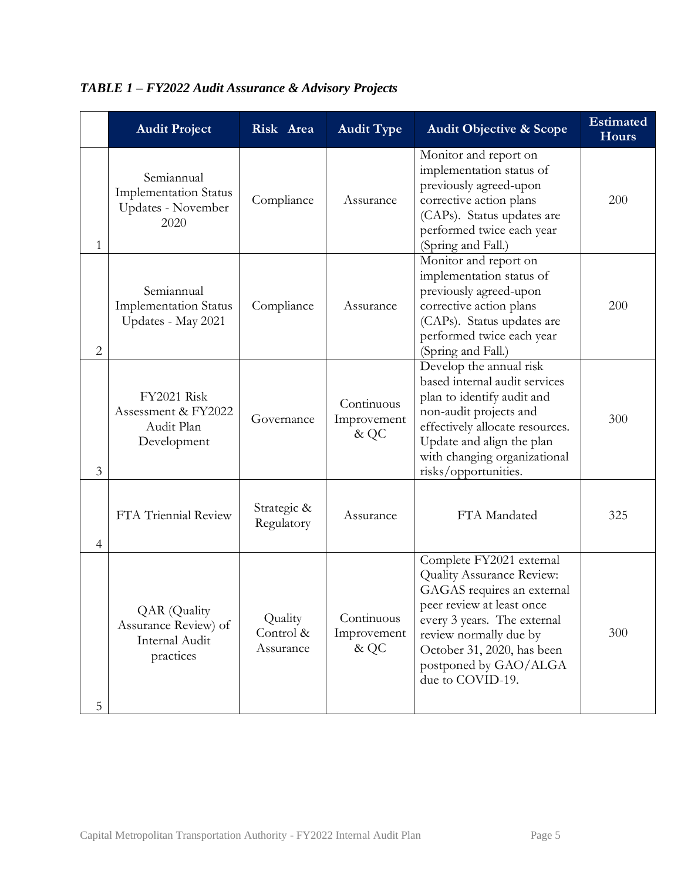|                | <b>Audit Project</b>                                                       | Risk Area                         | <b>Audit Type</b>                   | <b>Audit Objective &amp; Scope</b>                                                                                                                                                                                                                   | <b>Estimated</b><br><b>Hours</b> |
|----------------|----------------------------------------------------------------------------|-----------------------------------|-------------------------------------|------------------------------------------------------------------------------------------------------------------------------------------------------------------------------------------------------------------------------------------------------|----------------------------------|
| 1              | Semiannual<br><b>Implementation Status</b><br>Updates - November<br>2020   | Compliance                        | Assurance                           | Monitor and report on<br>implementation status of<br>previously agreed-upon<br>corrective action plans<br>(CAPs). Status updates are<br>performed twice each year<br>(Spring and Fall.)                                                              | 200                              |
| $\overline{c}$ | Semiannual<br><b>Implementation Status</b><br>Updates - May 2021           | Compliance                        | Assurance                           | Monitor and report on<br>implementation status of<br>previously agreed-upon<br>corrective action plans<br>(CAPs). Status updates are<br>performed twice each year<br>(Spring and Fall.)                                                              | 200                              |
| 3              | <b>FY2021 Risk</b><br>Assessment & FY2022<br>Audit Plan<br>Development     | Governance                        | Continuous<br>Improvement<br>& QC   | Develop the annual risk<br>based internal audit services<br>plan to identify audit and<br>non-audit projects and<br>effectively allocate resources.<br>Update and align the plan<br>with changing organizational<br>risks/opportunities.             | 300                              |
| $\overline{4}$ | FTA Triennial Review                                                       | Strategic &<br>Regulatory         | Assurance                           | FTA Mandated                                                                                                                                                                                                                                         | 325                              |
| 5              | <b>QAR</b> (Quality<br>Assurance Review) of<br>Internal Audit<br>practices | Quality<br>Control &<br>Assurance | Continuous<br>Improvement<br>$&$ QC | Complete FY2021 external<br>Quality Assurance Review:<br>GAGAS requires an external<br>peer review at least once<br>every 3 years. The external<br>review normally due by<br>October 31, 2020, has been<br>postponed by GAO/ALGA<br>due to COVID-19. | 300                              |

#### *TABLE 1 – FY2022 Audit Assurance & Advisory Projects*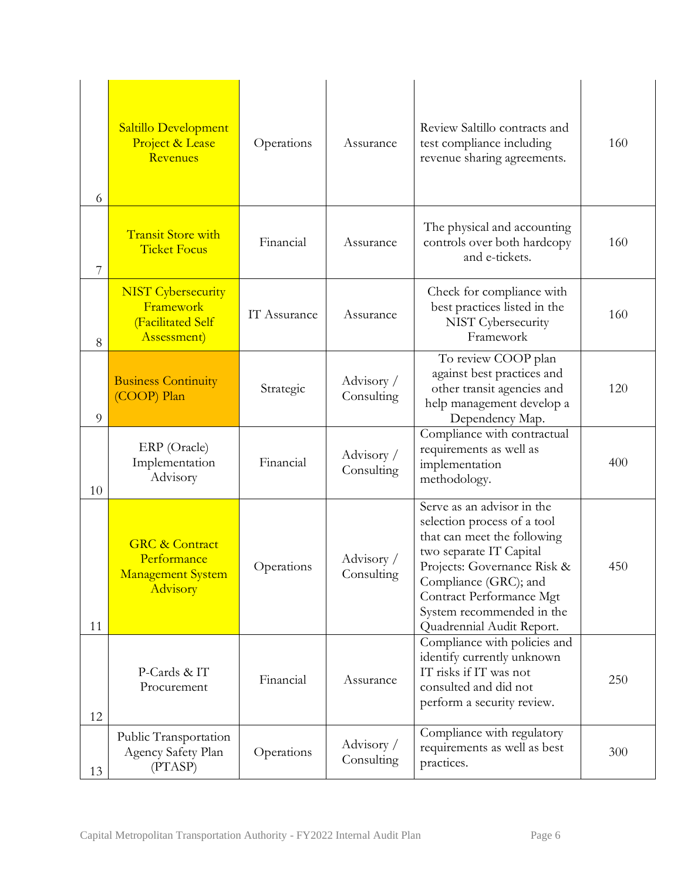| 6  | Saltillo Development<br>Project & Lease<br>Revenues                              | Operations   | Assurance                | Review Saltillo contracts and<br>test compliance including<br>revenue sharing agreements.                                                                                                                                                                         | 160 |
|----|----------------------------------------------------------------------------------|--------------|--------------------------|-------------------------------------------------------------------------------------------------------------------------------------------------------------------------------------------------------------------------------------------------------------------|-----|
| 7  | <b>Transit Store with</b><br><b>Ticket Focus</b>                                 | Financial    | Assurance                | The physical and accounting<br>controls over both hardcopy<br>and e-tickets.                                                                                                                                                                                      | 160 |
| 8  | <b>NIST</b> Cybersecurity<br>Framework<br>(Facilitated Self<br>Assessment)       | IT Assurance | Assurance                | Check for compliance with<br>best practices listed in the<br>NIST Cybersecurity<br>Framework                                                                                                                                                                      | 160 |
| 9  | <b>Business Continuity</b><br>(COOP) Plan                                        | Strategic    | Advisory /<br>Consulting | To review COOP plan<br>against best practices and<br>other transit agencies and<br>help management develop a<br>Dependency Map.                                                                                                                                   | 120 |
| 10 | ERP (Oracle)<br>Implementation<br>Advisory                                       | Financial    | Advisory /<br>Consulting | Compliance with contractual<br>requirements as well as<br>implementation<br>methodology.                                                                                                                                                                          | 400 |
| 11 | <b>GRC &amp; Contract</b><br>Performance<br><b>Management System</b><br>Advisory | Operations   | Advisory /<br>Consulting | Serve as an advisor in the<br>selection process of a tool<br>that can meet the following<br>two separate IT Capital<br>Projects: Governance Risk &<br>Compliance (GRC); and<br>Contract Performance Mgt<br>System recommended in the<br>Quadrennial Audit Report. | 450 |
| 12 | P-Cards & IT<br>Procurement                                                      | Financial    | Assurance                | Compliance with policies and<br>identify currently unknown<br>IT risks if IT was not<br>consulted and did not<br>perform a security review.                                                                                                                       | 250 |
| 13 | Public Transportation<br>Agency Safety Plan<br>(PTASP)                           | Operations   | Advisory /<br>Consulting | Compliance with regulatory<br>requirements as well as best<br>practices.                                                                                                                                                                                          | 300 |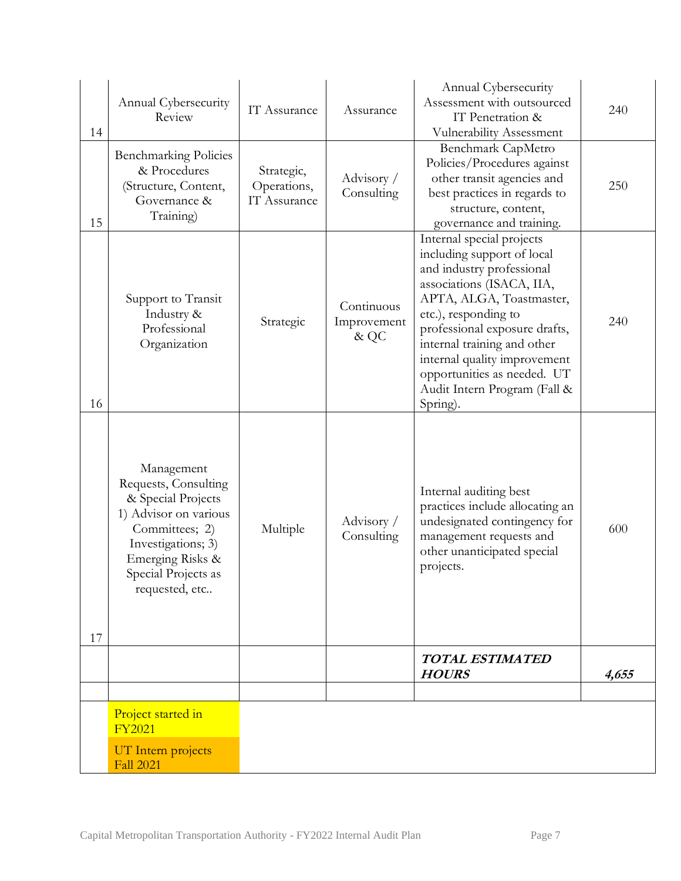|          | Annual Cybersecurity<br>Review                                                                                                                                                         | IT Assurance                              | Assurance                         | Annual Cybersecurity<br>Assessment with outsourced<br>IT Penetration &                                                                                                                                                                                                                                                                           | 240   |
|----------|----------------------------------------------------------------------------------------------------------------------------------------------------------------------------------------|-------------------------------------------|-----------------------------------|--------------------------------------------------------------------------------------------------------------------------------------------------------------------------------------------------------------------------------------------------------------------------------------------------------------------------------------------------|-------|
| 14<br>15 | <b>Benchmarking Policies</b><br>& Procedures<br>(Structure, Content,<br>Governance &<br>Training)                                                                                      | Strategic,<br>Operations,<br>IT Assurance | Advisory /<br>Consulting          | <b>Vulnerability Assessment</b><br>Benchmark CapMetro<br>Policies/Procedures against<br>other transit agencies and<br>best practices in regards to<br>structure, content,<br>governance and training.                                                                                                                                            | 250   |
| 16       | Support to Transit<br>Industry &<br>Professional<br>Organization                                                                                                                       | Strategic                                 | Continuous<br>Improvement<br>& QC | Internal special projects<br>including support of local<br>and industry professional<br>associations (ISACA, IIA,<br>APTA, ALGA, Toastmaster,<br>etc.), responding to<br>professional exposure drafts,<br>internal training and other<br>internal quality improvement<br>opportunities as needed. UT<br>Audit Intern Program (Fall &<br>Spring). | 240   |
| 17       | Management<br>Requests, Consulting<br>& Special Projects<br>1) Advisor on various<br>Committees; 2)<br>Investigations; 3)<br>Emerging Risks &<br>Special Projects as<br>requested, etc | Multiple                                  | Advisory /<br>Consulting          | Internal auditing best<br>practices include allocating an<br>undesignated contingency for<br>management requests and<br>other unanticipated special<br>projects.                                                                                                                                                                                 | 600   |
|          |                                                                                                                                                                                        |                                           |                                   | <b>TOTAL ESTIMATED</b><br><b>HOURS</b>                                                                                                                                                                                                                                                                                                           | 4,655 |
|          | Project started in<br><b>FY2021</b>                                                                                                                                                    |                                           |                                   |                                                                                                                                                                                                                                                                                                                                                  |       |
|          | UT Intern projects<br><b>Fall 2021</b>                                                                                                                                                 |                                           |                                   |                                                                                                                                                                                                                                                                                                                                                  |       |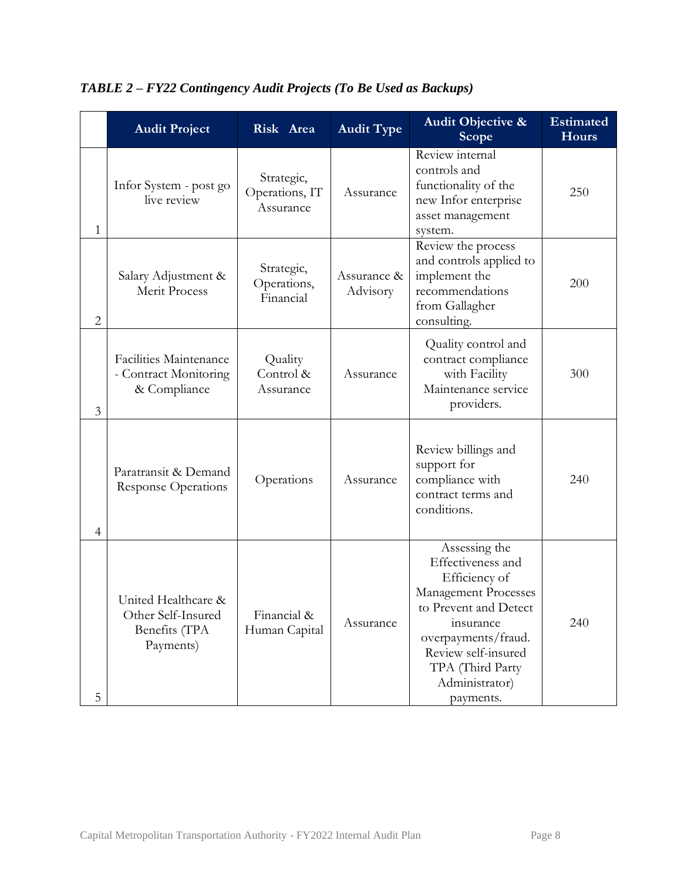|                | <b>Audit Project</b>                                                    | Risk Area                                 | <b>Audit Type</b>       | <b>Audit Objective &amp;</b><br>Scope                                                                                                                                                                              | <b>Estimated</b><br><b>Hours</b> |
|----------------|-------------------------------------------------------------------------|-------------------------------------------|-------------------------|--------------------------------------------------------------------------------------------------------------------------------------------------------------------------------------------------------------------|----------------------------------|
| 1              | Infor System - post go<br>live review                                   | Strategic,<br>Operations, IT<br>Assurance | Assurance               | Review internal<br>controls and<br>functionality of the<br>new Infor enterprise<br>asset management<br>system.                                                                                                     | 250                              |
| $\overline{2}$ | Salary Adjustment &<br>Merit Process                                    | Strategic,<br>Operations,<br>Financial    | Assurance &<br>Advisory | Review the process<br>and controls applied to<br>implement the<br>recommendations<br>from Gallagher<br>consulting.                                                                                                 | 200                              |
| 3              | <b>Facilities Maintenance</b><br>- Contract Monitoring<br>& Compliance  | Quality<br>Control &<br>Assurance         | Assurance               | Quality control and<br>contract compliance<br>with Facility<br>Maintenance service<br>providers.                                                                                                                   | 300                              |
| $\overline{4}$ | Paratransit & Demand<br><b>Response Operations</b>                      | Operations                                | Assurance               | Review billings and<br>support for<br>compliance with<br>contract terms and<br>conditions.                                                                                                                         | 240                              |
| 5              | United Healthcare &<br>Other Self-Insured<br>Benefits (TPA<br>Payments) | Financial &<br>Human Capital              | Assurance               | Assessing the<br>Effectiveness and<br>Efficiency of<br>Management Processes<br>to Prevent and Detect<br>insurance<br>overpayments/fraud.<br>Review self-insured<br>TPA (Third Party<br>Administrator)<br>payments. | 240                              |

*TABLE 2 – FY22 Contingency Audit Projects (To Be Used as Backups)*